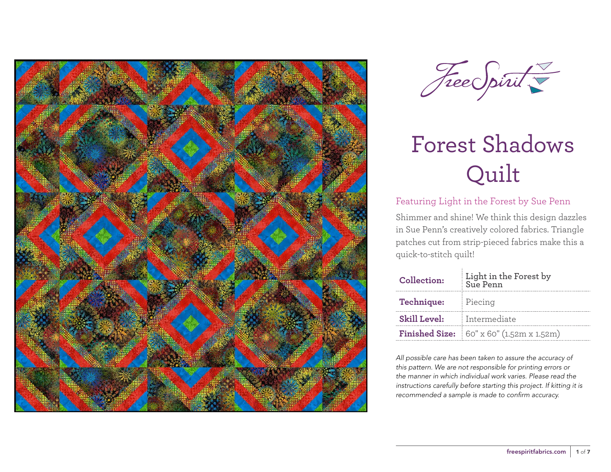



#### Featuring Light in the Forest by Sue Penn

Shimmer and shine! We think this design dazzles in Sue Penn's creatively colored fabrics. Triangle patches cut from strip-pieced fabrics make this a quick-to-stitch quilt!

| Collection:         | Light in the Forest by<br>Sue Penn                       |  |  |  |
|---------------------|----------------------------------------------------------|--|--|--|
| Technique:          | Piecing                                                  |  |  |  |
| <b>Skill Level:</b> | Intermediate                                             |  |  |  |
|                     | <b>Finished Size:</b> $60'' \times 60''$ (1.52m x 1.52m) |  |  |  |

*All possible care has been taken to assure the accuracy of this pattern. We are not responsible for printing errors or the manner in which individual work varies. Please read the instructions carefully before starting this project. If kitting it is recommended a sample is made to confirm accuracy.*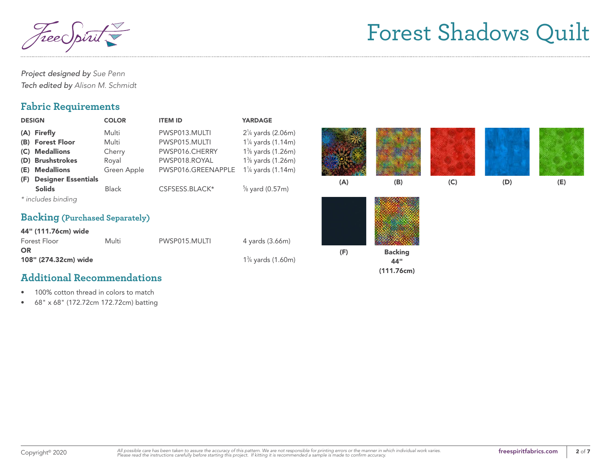$^\prime$ ree $\in$ 

*Project designed by Sue Penn Tech edited by Alison M. Schmidt*

#### **Fabric Requirements**

| <b>DESIGN</b>                                                                           | <b>COLOR</b>                                     | <b>ITEM ID</b>                                                                          | <b>YARDAGE</b>                                                                                                                       |     |                                     |     |     |     |
|-----------------------------------------------------------------------------------------|--------------------------------------------------|-----------------------------------------------------------------------------------------|--------------------------------------------------------------------------------------------------------------------------------------|-----|-------------------------------------|-----|-----|-----|
| (A) Firefly<br>(B) Forest Floor<br>(C) Medallions<br>(D) Brushstrokes<br>(E) Medallions | Multi<br>Multi<br>Cherry<br>Royal<br>Green Apple | PWSP013.MULTI<br>PWSP015.MULTI<br>PWSP016.CHERRY<br>PWSP018.ROYAL<br>PWSP016.GREENAPPLE | $2\frac{1}{4}$ yards (2.06m)<br>$1\frac{1}{4}$ yards (1.14m)<br>1% yards (1.26m)<br>1% yards (1.26m)<br>$1\frac{1}{4}$ yards (1.14m) |     |                                     |     |     |     |
| (F) Designer Essentials<br><b>Solids</b>                                                | <b>Black</b>                                     | CSFSESS.BLACK*                                                                          | $\frac{5}{8}$ yard (0.57m)                                                                                                           | (A) | (B)                                 | (C) | (D) | (E) |
| * includes binding<br><b>Backing (Purchased Separately)</b>                             |                                                  |                                                                                         |                                                                                                                                      |     |                                     |     |     |     |
| 44" (111.76cm) wide<br>Forest Floor                                                     | Multi                                            | PWSP015.MULTI                                                                           | 4 yards (3.66m)                                                                                                                      |     |                                     |     |     |     |
| <b>OR</b><br>108" (274.32cm) wide                                                       |                                                  |                                                                                         | $1\frac{3}{4}$ yards (1.60m)                                                                                                         | (F) | <b>Backing</b><br>44"<br>(111.76cm) |     |     |     |

### **Additional Recommendations**

- 100% cotton thread in colors to match
- 68" x 68" (172.72cm 172.72cm) batting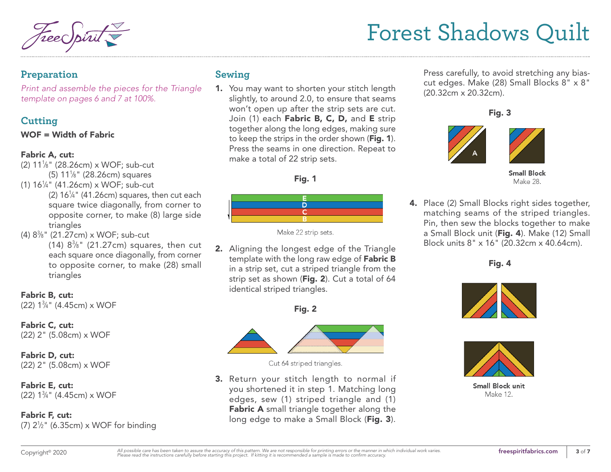#### **Preparation**

*Print and assemble the pieces for the Triangle template on pages 6 and 7 at 100%.*

### **Cutting**

#### WOF = Width of Fabric

#### Fabric A, cut:

- (2) 111 ⁄8" (28.26cm) x WOF; sub-cut (5)  $11\frac{1}{8}$ " (28.26cm) squares
- (1) 161 ⁄4" (41.26cm) x WOF; sub-cut
- $(2)$  16<sup>1</sup>/<sub>4</sub>" (41.26cm) squares, then cut each square twice diagonally, from corner to opposite corner, to make (8) large side triangles
- (4) 83 ⁄8" (21.27cm) x WOF; sub-cut  $(14)$   $8\%$ "  $(21.27cm)$  squares, then cut each square once diagonally, from corner to opposite corner, to make (28) small triangles

Fabric B, cut:

(22) 13 ⁄4" (4.45cm) x WOF

Fabric C, cut: (22) 2" (5.08cm) x WOF

Fabric D, cut: (22) 2" (5.08cm) x WOF

Fabric E, cut: (22) 13 ⁄4" (4.45cm) x WOF

Fabric F, cut: (7) 21 ⁄2" (6.35cm) x WOF for binding

### **Sewing**

1. You may want to shorten your stitch length slightly, to around 2.0, to ensure that seams won't open up after the strip sets are cut. Join (1) each Fabric B, C, D, and E strip together along the long edges, making sure to keep the strips in the order shown (Fig. 1). Press the seams in one direction. Repeat to make a total of 22 strip sets.





Make 22 strip sets.

2. Aligning the longest edge of the Triangle template with the long raw edge of Fabric B in a strip set, cut a striped triangle from the strip set as shown (Fig. 2). Cut a total of 64 identical striped triangles.

Fig. 2



Cut 64 striped triangles.

3. Return your stitch length to normal if you shortened it in step 1. Matching long edges, sew (1) striped triangle and (1) Fabric A small triangle together along the long edge to make a Small Block (Fig. 3).

Press carefully, to avoid stretching any biascut edges. Make (28) Small Blocks 8" x 8" (20.32cm x 20.32cm).

Fig. 3



**Small Block** Make 28.

4. Place (2) Small Blocks right sides together, matching seams of the striped triangles. Pin, then sew the blocks together to make a Small Block unit (Fig. 4). Make (12) Small Block units 8" x 16" (20.32cm x 40.64cm).

Fig. 4





**Small Block unit Make 12.**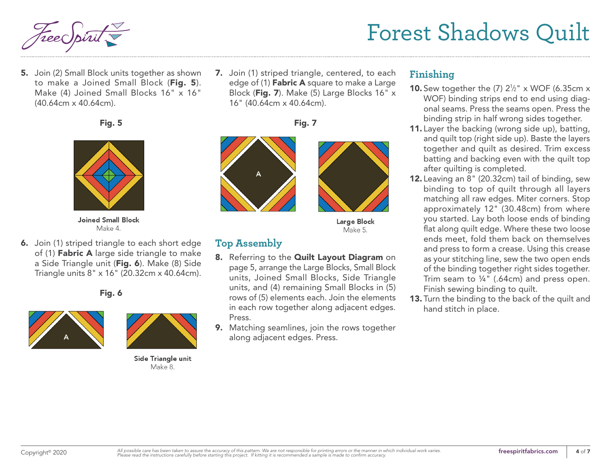5. Join (2) Small Block units together as shown to make a Joined Small Block (Fig. 5). Make (4) Joined Small Blocks 16" x 16" (40.64cm x 40.64cm).

#### Fig. 5



**Joined Small Block** Make 4.

6. Join (1) striped triangle to each short edge of (1) **Fabric A** large side triangle to make a Side Triangle unit (Fig. 6). Make (8) Side Triangle units 8" x 16" (20.32cm x 40.64cm).

Fig. 6





Side Triangle unit Make 8.

7. Join (1) striped triangle, centered, to each edge of (1) **Fabric A** square to make a Large Block (Fig. 7). Make (5) Large Blocks 16" x 16" (40.64cm x 40.64cm).

Fig. 7



Large Block Make 5.

### **Top Assembly**

- 8. Referring to the Quilt Layout Diagram on page 5, arrange the Large Blocks, Small Block units, Joined Small Blocks, Side Triangle units, and (4) remaining Small Blocks in (5) rows of (5) elements each. Join the elements in each row together along adjacent edges. Press.
- 9. Matching seamlines, join the rows together along adjacent edges. Press.

#### **Finishing**

- **10.** Sew together the  $(7)$   $2\frac{1}{2}$ " x WOF (6.35cm x WOF) binding strips end to end using diagonal seams. Press the seams open. Press the binding strip in half wrong sides together.
- 11. Layer the backing (wrong side up), batting, and quilt top (right side up). Baste the layers together and quilt as desired. Trim excess batting and backing even with the quilt top after quilting is completed.
- 12. Leaving an 8" (20.32cm) tail of binding, sew binding to top of quilt through all layers matching all raw edges. Miter corners. Stop approximately 12" (30.48cm) from where you started. Lay both loose ends of binding flat along quilt edge. Where these two loose ends meet, fold them back on themselves and press to form a crease. Using this crease as your stitching line, sew the two open ends of the binding together right sides together. Trim seam to ¼" (.64cm) and press open. Finish sewing binding to quilt.
- 13. Turn the binding to the back of the quilt and hand stitch in place.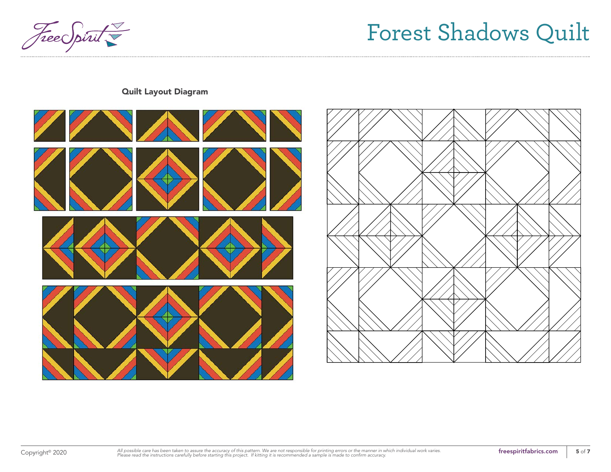

Quilt Layout Diagram



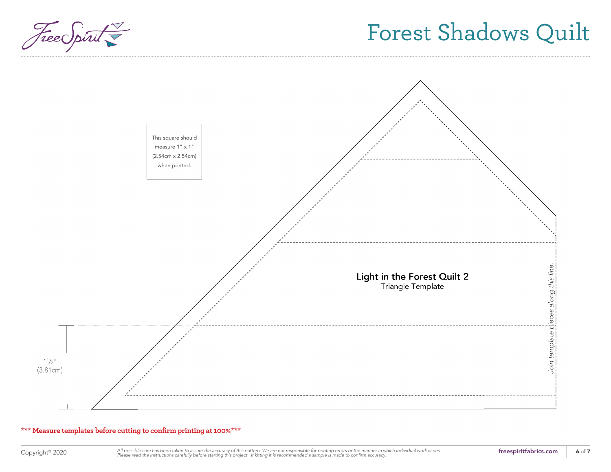



#### **\*\*\* Measure templates before cutting to confirm printing at 100%\*\*\***